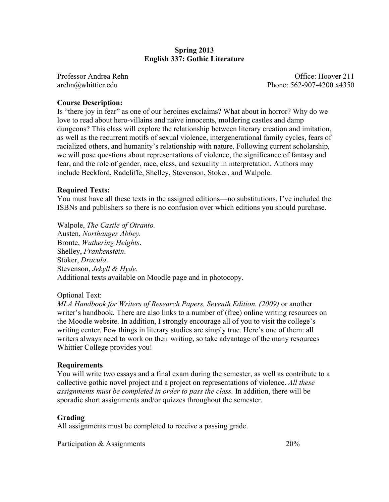## **Spring 2013 English 337: Gothic Literature**

Professor Andrea Rehn Christian Christian Christian Christian Christian Christian Christian Christian Christian Christian Christian Christian Christian Christian Christian Christian Christian Christian Christian Christian arehn@whittier.edu Phone: 562-907-4200 x4350

## **Course Description:**

Is "there joy in fear" as one of our heroines exclaims? What about in horror? Why do we love to read about hero-villains and naïve innocents, moldering castles and damp dungeons? This class will explore the relationship between literary creation and imitation, as well as the recurrent motifs of sexual violence, intergenerational family cycles, fears of racialized others, and humanity's relationship with nature. Following current scholarship, we will pose questions about representations of violence, the significance of fantasy and fear, and the role of gender, race, class, and sexuality in interpretation. Authors may include Beckford, Radcliffe, Shelley, Stevenson, Stoker, and Walpole.

### **Required Texts:**

You must have all these texts in the assigned editions—no substitutions. I've included the ISBNs and publishers so there is no confusion over which editions you should purchase.

Walpole, *The Castle of Otranto.*  Austen, *Northanger Abbey.*  Bronte, *Wuthering Heights*. Shelley, *Frankenstein*. Stoker, *Dracula*. Stevenson, *Jekyll & Hyde*. Additional texts available on Moodle page and in photocopy.

#### Optional Text:

*MLA Handbook for Writers of Research Papers, Seventh Edition. (2009)* or another writer's handbook. There are also links to a number of (free) online writing resources on the Moodle website. In addition, I strongly encourage all of you to visit the college's writing center. Few things in literary studies are simply true. Here's one of them: all writers always need to work on their writing, so take advantage of the many resources Whittier College provides you!

#### **Requirements**

You will write two essays and a final exam during the semester, as well as contribute to a collective gothic novel project and a project on representations of violence. *All these assignments must be completed in order to pass the class.* In addition, there will be sporadic short assignments and/or quizzes throughout the semester.

### **Grading**

All assignments must be completed to receive a passing grade.

Participation & Assignments 20%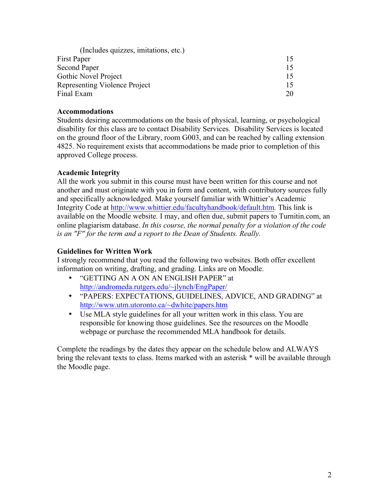| (Includes quizzes, imitations, etc.) |    |
|--------------------------------------|----|
| First Paper                          |    |
| Second Paper                         |    |
| Gothic Novel Project                 |    |
| Representing Violence Project        |    |
| Final Exam                           | 20 |

## **Accommodations**

Students desiring accommodations on the basis of physical, learning, or psychological disability for this class are to contact Disability Services. Disability Services is located on the ground floor of the Library, room G003, and can be reached by calling extension 4825. No requirement exists that accommodations be made prior to completion of this approved College process.

# **Academic Integrity**

All the work you submit in this course must have been written for this course and not another and must originate with you in form and content, with contributory sources fully and specifically acknowledged. Make yourself familiar with Whittier's Academic Integrity Code at http://www.whittier.edu/facultyhandbook/default.htm*.* This link is available on the Moodle website*.* I may, and often due, submit papers to Turnitin.com, an online plagiarism database. *In this course, the normal penalty for a violation of the code is an "F" for the term and a report to the Dean of Students. Really.*

# **Guidelines for Written Work**

I strongly recommend that you read the following two websites. Both offer excellent information on writing, drafting, and grading. Links are on Moodle.

- "GETTING AN A ON AN ENGLISH PAPER" at http://andromeda.rutgers.edu/~jlynch/EngPaper/
- "PAPERS: EXPECTATIONS, GUIDELINES, ADVICE, AND GRADING" at http://www.utm.utoronto.ca/~dwhite/papers.htm
- Use MLA style guidelines for all your written work in this class. You are responsible for knowing those guidelines. See the resources on the Moodle webpage or purchase the recommended MLA handbook for details.

Complete the readings by the dates they appear on the schedule below and ALWAYS bring the relevant texts to class. Items marked with an asterisk \* will be available through the Moodle page.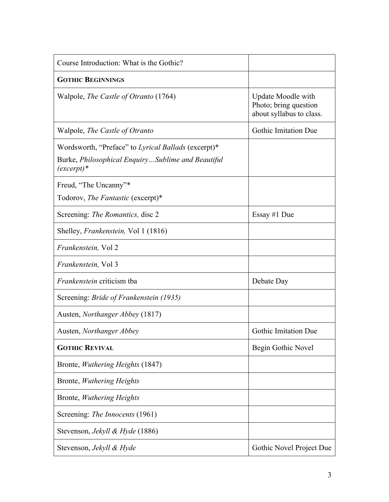| Course Introduction: What is the Gothic?                                                                                       |                                                                         |
|--------------------------------------------------------------------------------------------------------------------------------|-------------------------------------------------------------------------|
| <b>GOTHIC BEGINNINGS</b>                                                                                                       |                                                                         |
| Walpole, <i>The Castle of Otranto</i> (1764)                                                                                   | Update Moodle with<br>Photo; bring question<br>about syllabus to class. |
| Walpole, The Castle of Otranto                                                                                                 | <b>Gothic Imitation Due</b>                                             |
| Wordsworth, "Preface" to Lyrical Ballads (excerpt)*<br>Burke, <i>Philosophical EnquirySublime and Beautiful</i><br>$(except)*$ |                                                                         |
| Freud, "The Uncanny"*                                                                                                          |                                                                         |
| Todorov, The Fantastic (excerpt)*                                                                                              |                                                                         |
| Screening: The Romantics, disc 2                                                                                               | Essay #1 Due                                                            |
| Shelley, <i>Frankenstein</i> , Vol 1 (1816)                                                                                    |                                                                         |
| Frankenstein, Vol 2                                                                                                            |                                                                         |
| <i>Frankenstein</i> , Vol 3                                                                                                    |                                                                         |
| <i>Frankenstein</i> criticism tba                                                                                              | Debate Day                                                              |
| Screening: <i>Bride of Frankenstein</i> (1935)                                                                                 |                                                                         |
| Austen, <i>Northanger Abbey</i> (1817)                                                                                         |                                                                         |
| Austen, Northanger Abbey                                                                                                       | <b>Gothic Imitation Due</b>                                             |
| <b>GOTHIC REVIVAL</b>                                                                                                          | Begin Gothic Novel                                                      |
| Bronte, <i>Wuthering Heights</i> (1847)                                                                                        |                                                                         |
| Bronte, Wuthering Heights                                                                                                      |                                                                         |
| Bronte, Wuthering Heights                                                                                                      |                                                                         |
| Screening: The Innocents (1961)                                                                                                |                                                                         |
| Stevenson, <i>Jekyll &amp; Hyde</i> (1886)                                                                                     |                                                                         |
| Stevenson, <i>Jekyll &amp; Hyde</i>                                                                                            | Gothic Novel Project Due                                                |